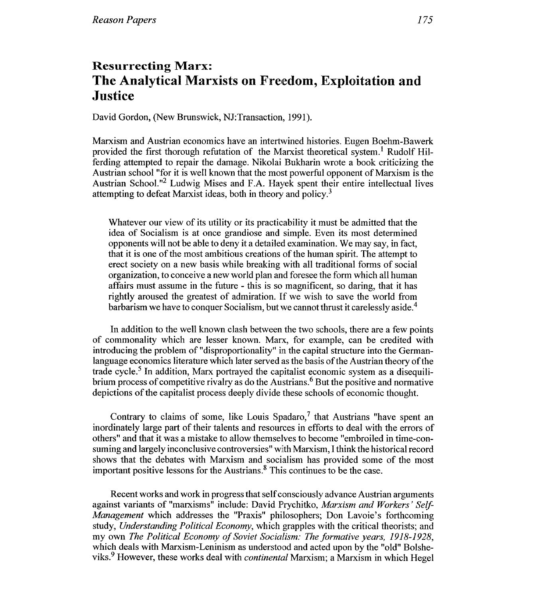## **Resurrecting Marx: The Analytical Marxists on Freedom, Exploitation and Justice**

David Gordon, (New Brunswick, NJ:Transaction, 1991).

Marxism and Austrian economics have an intertwined histories. Eugen Boehm-Bawerk provided the first thorough refutation of the Marxist theoretical system.<sup>1</sup> Rudolf Hilferding attempted to repair the damage. Nikolai Bukharin wrote a book criticizing the Austrian school "for it is well known that the most powerful opponent of Marxism is the Austrian School."<sup>2</sup> Ludwig Mises and F.A. Hayek spent their entire intellectual lives attempting to defeat Marxist ideas, both in theory and policy.<sup>3</sup>

Whatever our view of its utility or its practicability it must be admitted that the idea of Socialism is at once grandiose and simple. Even its most determined opponents will not be able to deny it a detailed examination. We may say, in fact, that it is one of the most ambitious creations of the human spirit. The attempt to erect society on a new basis while breaking with all traditional forms of social organization, to conceive a new world plan and foresee the form which all human affairs must assume in the future - this is so magnificent, so daring, that it has rightly aroused the greatest of admiration. If we wish to save the world from barbarism we have to conquer Socialism, but we cannot thrust it carelessly aside.<sup>4</sup>

In addition to the well known clash between the two schools, there are a few points of commonality which are lesser known. Marx, for example, can be credited with introducing the problem of "disproportionality" in the capital structure into the Germanlanguage economics literature which later served as the basis of the Austrian theory of the trade cycle.<sup>5</sup> In addition, Marx portrayed the capitalist economic system as a disequilibrium process of competitive rivalry as do the Austrians.<sup> $6$ </sup> But the positive and normative depictions of the capitalist process deeply divide these schools of economic thought.

Contrary to claims of some, like Louis Spadaro,<sup>7</sup> that Austrians "have spent an inordinately large part of their talents and resources in efforts to deal with the errors of others" and that it was a mistake to allow themselves to become "embroiled in time-consuming and largely inconclusive controversies" with Marxism, I think the historical record shows that the debates with Marxism and socialism has provided some of the most important positive lessons for the Austrians. $<sup>8</sup>$  This continues to be the case.</sup>

Recent works and work in progress that self consciously advance Austrian arguments against variants of "marxisms" include: David Prychitko, *Marxism and Workers* ' *Self-Management* which addresses the "Praxis" philosophers; Don Lavoie's forthcoming study, *Understanding Political Economy,* which grapples with the critical theorists; and my own *The Political Economy of Soviet Socialism: The formative years,* 1918-1928, which deals with Marxism-Leninism as understood and acted upon by the "old" Bolsheviks? However, these works deal with *continental* Marxism; a Marxism in which Hegel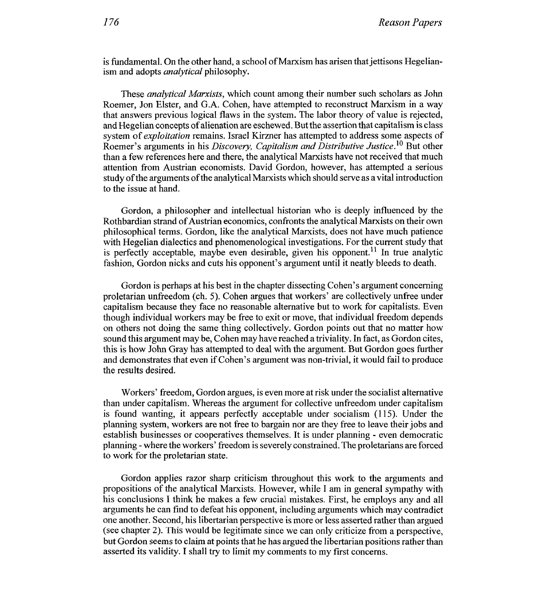is fundamental. On the other hand, a school of Marxism has arisen that jettisons Hegelianism and adopts analytical philosophy.

These analytical Marxists, which count among their number such scholars as John Roemer, Jon Elster, and G.A. Cohen, have attempted to reconstruct Marxism in a way that answers previous logical flaws in the system. The labor theory of value is rejected, and Hegelian concepts of alienation are eschewed. But the assertion that capitalism is class system of *exploitation* remains. Israel Kirzner has attempted to address some aspects of Roemer's arguments in his Discovery, Capitalism and Distributive Justice.<sup>10</sup> But other than a few references here and there, the analylical Marxists have not received that much attention from Austrian economists. David Gordon, however, has attempted a serious study of the arguments of the analytical Marxists which should serve as a vital introduction to the issue at hand.

Gordon, a philosopher and intellectual historian who is deeply influenced by the Rothbardian strand of Austrian economics, confronts the analytical Marxists on their own philosophical terms. Gordon, like the analytical Marxists, does not have much patience with Hegelian dialectics and phenomenological investigations. For the current study that is perfectly acceptable, maybe even desirable, given his opponent.<sup>11</sup> In true analytic fashion, Gordon nicks and cuts his opponent's argument until it neatly bleeds to death.

Gordon is perhaps at his best in the chapter dissecting Cohen's argument concerning proletarian unfreedom (ch. 5). Cohen argues that workers' are collectively unfree under capitalism because they face no reasonable alternative but to work for capitalists. Even though individual workers may be free to exit or move, that individual freedom depends on others not doing the same thing collectively. Gordon points out that no matter how sound this argument may be, Cohen may have reached a triviality. In fact, as Gordon cites, this is how John Gray has attempted to deal with the argument. But Gordon goes Further and demonstrates that even if Cohen's argument was non-trivial, it would fail to produce the results desired.

Workers' freedom, Gordon argues, is even more at risk under the socialist alternative than under capitalism. Whereas the argument for collective unfreedom under capitalism is found wanting, it appears perfectly acceptable under socialism (115). Under the planning system, workers are not free to bargain nor are they free to leave their jobs and establish businesses or cooperatives themselves. It is under planning - even democratic planning - where the workers' freedom is severely constrained. The proletarians are forced to work for the proletarian state.

Gordon applies razor sharp criticism throughout this work to the arguments and propositions of the analytical Marxists. However, while I am in general sympathy with his conclusions I think he makes a few crucial mistakes. First, he employs any and all arguments he can find to defeat his opponent, including arguments which may contradict one another. Second, his libertarian perspective is more or less asserted rather than argued (see chapter 2). This would be legitimate since we can only criticize from a perspective, but Gordon seems to claim at points that he has argued the libertarian positions rather than asserted its validity. I shall try to limit my comments to my first concerns.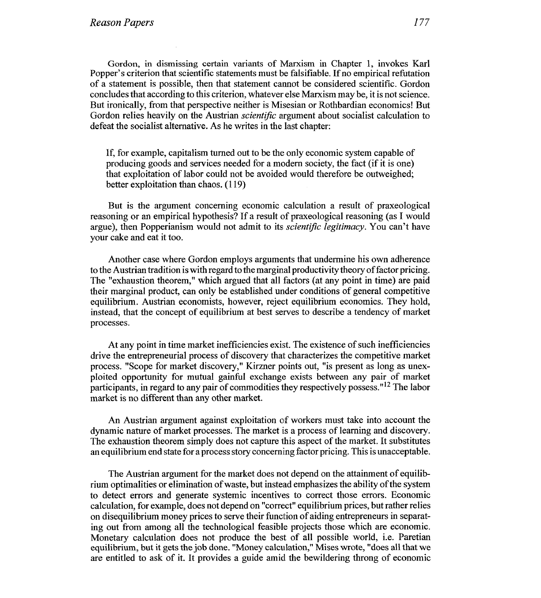Gordon, in dismissing certain variants of Marxism in Chapter 1, invokes Karl Popper's criterion that scientific statements must be falsifiable. If no empirical refutation of a statement is possible, then that statement cannot be considered scientific. Gordon concludes that according to this criterion, whatever else Marxism may be, it is not science. But ironically, from that perspective neither is Misesian or Rothbardian economics! But Gordon relies heavily on the Austrian *scientific* argument about socialist calculation to defeat the socialist alternative. As he writes in the last chapter:

If, for example, capitalism turned out to be the only economic system capable of producing goods and services needed for a modern society, the fact (if it is one) that exploitation of labor could not be avoided would therefore be outweighed; better exploitation than chaos. (1 19)

But is the argument concerning economic calculation a result of praxeological reasoning or an empirical hypothesis? If a result of praxeological reasoning (as I would argue), then Popperianism would not admit to its *scientific legitimacy*. You can't have your cake and eat it too.

Another case where Gordon employs arguments that undermine his own adherence to the Austrian tradition is with regard to the marginal productivity theory of factor pricing. The "exhaustion theorem," which argued that all factors (at any point in time) are paid their marginal product, can only be established under conditions of general competitive equilibrium. Austrian economists, however, reject equilibrium economics. They hold, instead, that the concept of equilibrium at best serves to describe a tendency of market processes.

At any point in time market inefficiencies exist. The existence of such inefficiencies drive the entrepreneurial process of discovery that characterizes the competitive market process. "Scope for market discovery," Kirzner points out, "is present as long as unexploited opportunity for mutual gainful exchange exists between any pair of market participants, in regard to any pair of commodities they respectively possess."12 The labor market is no different than any other market.

An Austrian argument against exploitation of workers must take into account the dynamic nature of market processes. The market is a process of learning and discovery. The exhaustion theorem simply does not capture this aspect of the market. It substitutes an equilibrium end state for a process story concerning factor pricing. This is unacceptable.

The Austrian argument for the market does not depend on the attainment of equilibrium optimalities or elimination of waste, but instead emphasizes the ability of the system to detect errors and generate systemic incentives to correct those errors. Economic calculation, for example, does not depend on "correct" equilibrium prices, but rather relies on disequilibrium money prices to serve their function of aiding entrepreneurs in separating out from among all the technological feasible projects those which are economic. Monetary calculation does not produce the best of all possible world, i.e. Paretian equilibrium, but it gets the job done. "Money calculation," Mises wrote, "does all that we are entitled to ask of it. It provides a guide amid the bewildering throng of economic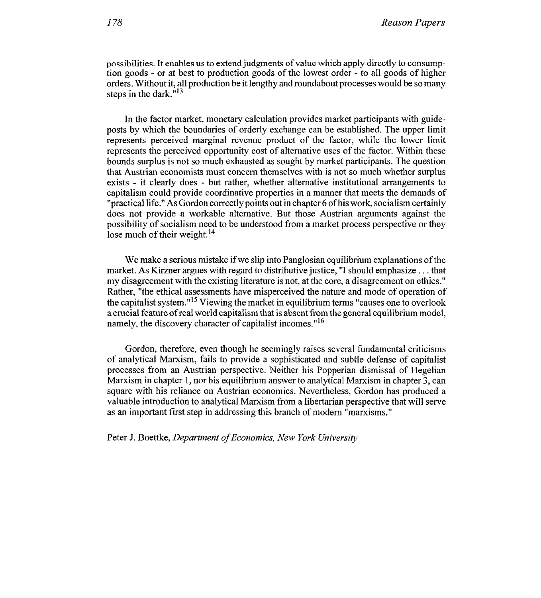possibilities. It enables us to extend judgments of value which apply directly to consumption goods - or at best to production goods sf the lowest order - to all goods of higher orders. Without it, all production be it lengthy and roundabout processes would be so many steps in the dark." $13$ 

In the factor market, monetary calculation provides market participants with guideposts by which the boundaries of orderly exchange can be established. The upper limit represents perceived marginal revenue product of the factor, while the lower limit represents the perceived opportunity cost of alternative uses of the factor. Within these bounds surplus is not so much exhausted as sought by market participants. The question that Austrian economists must concern themselves with is not so much whether surplus exists - it clearly does - but rather, whether alternative institutional arrangements to capitalism could provide coordinative properties in a manner that meets the demands of "practical life." As Gordon correctly points out in chapter 6 of his work, socialism certainly does not provide a workable alternative. But those Austrian arguments against the possibility of socialism need to be understood from a market process perspective or they lose much of their weight.<sup>14</sup>

We make a serious mistake if we slip into Panglosian equilibrium explanations of the market. As Kirzner argues with regard to distributive justice, "I should emphasize . . . that my disagreement with the existing literature is not, at the core, a disagreement on ethics." Rather, "the ethical assessments have misperceived the nature and mode of operation of the capitalist system."15 Viewing the market in equilibrium terms "causes one to overlook a crucial feature of real world capitalism that is absent from the general equilibrium model, namely, the discovery character of capitalist incomes."<sup>16</sup>

Gordon, therefore, even though he seemingly raises several fundamental criticisms of analytical Marxism, fails to provide a sophisticated and subtle defense of capitalist processes from an Austrian perspective. Neither his Popperian dismissal of Hegelian Marxism in chapter 1, nor his equilibrium answer to analytical Marxism in chapter 3, can square with his reliance on Austrian economics. Nevertheless, Gordon has produced a valuable introduction to analytical Marxism from a libertarian perspective that will serve as an important first step in addressing this branch of modern "marxisms."

Peter J. Boettke, *Department of Economics,* **New** *York University*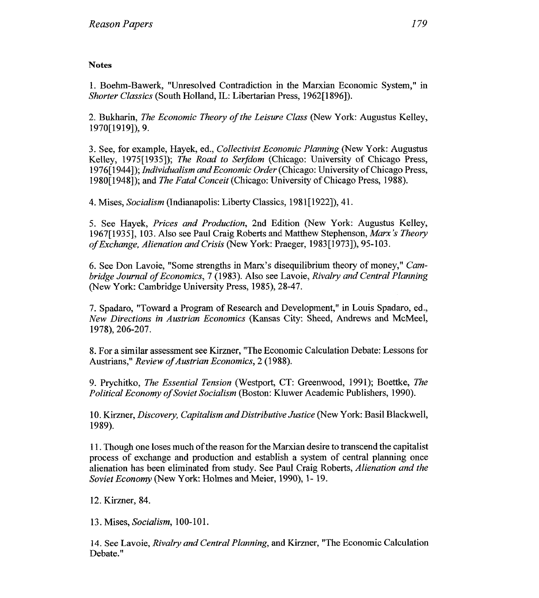## **Notes**

1. Boehm-Bawerk, "Unresolved Contradiction in the Marxian Economic System," in *Shorter Classics* (South Holland, IL: Libertarian Press, 1962[1896]).

2. Bukharin, *The Economic Theory of the Leisure Class* (New York: Augustus Kelley, 1970[1919]), 9.

3. See, for example, Hayek, ed., *Collectivist Economic Planning* (New York: Augustus Kelley, 1975[1935]); *The Road to Serfdom* (Chicago: University of Chicago Press, 1976[1944]); *Individualism and Economic Order* (Chicago: University of Chicago Press, 1980[1948]); and *The Fatal Conceit* (Chicago: University of Chicago Press, 1988).

4. Mises, *Socialism* (Indianapolis: Liberty Classics, 1981[1922]), 41.

5. See Hayek, *Prices and Production,* 2nd Edition (New York: Augustus Kelley, 1967[193 51, 103. Also see Paul Craig Roberts andl Matthew Stephenson, *Marx 's Theory of Exchange, Alienation and Crisis* (New York: Praeger, 1983[1973]), 95-103.

6. See Don Lavoie, "Some strengths in Marx's disequilibrium theory of money," *Cambridge Journal of Economics,* 7 (1983). Also see Lavoie, *Rivalry and Central Planning*  (New York: Cambridge University Press, 1985), 28-47.

7. Spadaro, "Toward a Program of Research and Development," in Louis Spadaro, ed., *New Directions in Austrian Economics* (Kansas City: Sheed, Andrews and McMeel, 1978), 206-207.

8. For a similar assessment see Kirzner, "The Economic Calculation Debate: Lessons for Austrians," *Review of Austrian Economics, 2* (1988).

9. Prychitko, *The Essential Tension* (Westport, CT: Greenwood, 1991); Boettke, *The Political Economy of Soviet Socialism* (Boston: Kiluwer Academic Publishers, 1990).

10. Kirzner, *Discovery, Capitalism and Distributive Justice* (New York: Basil Blackwell, 1989).

1 1. Though one loses much of the reason for the Marxian desire to transcend the capitalist process of exchange and production and establish a system of central planning once alienation has been eliminated from study. See Paul Craig Roberts, *Alienation and the Soviet Economy* (New York: Holmes and Meier, 1990), 1- 19.

12. Kirzner, 84.

13. Mises, *Socialism*, 100-101.

14. See Lavoie, *Rivalry and Central Planning,* and Kirzner, "The Economic Calculation Debate."